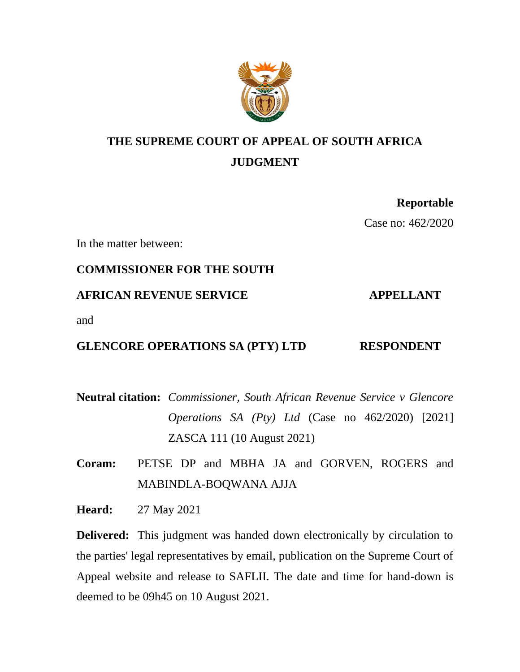

# **THE SUPREME COURT OF APPEAL OF SOUTH AFRICA JUDGMENT**

# **Reportable** Case no: 462/2020

In the matter between:

# **COMMISSIONER FOR THE SOUTH**

### **AFRICAN REVENUE SERVICE APPELLANT**

and

## **GLENCORE OPERATIONS SA (PTY) LTD RESPONDENT**

**Neutral citation:** *Commissioner, South African Revenue Service v Glencore Operations SA (Pty) Ltd* (Case no 462/2020) [2021] ZASCA 111 (10 August 2021)

**Coram:** PETSE DP and MBHA JA and GORVEN, ROGERS and MABINDLA-BOQWANA AJJA

**Heard:** 27 May 2021

**Delivered:** This judgment was handed down electronically by circulation to the parties' legal representatives by email, publication on the Supreme Court of Appeal website and release to SAFLII. The date and time for hand-down is deemed to be 09h45 on 10 August 2021.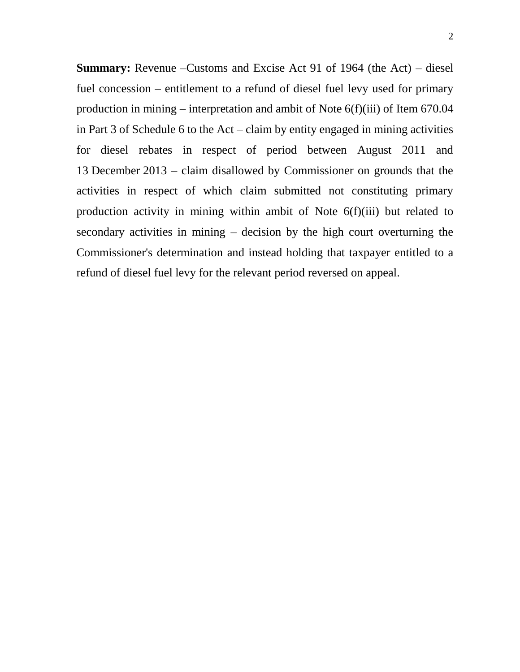**Summary:** Revenue –Customs and Excise Act 91 of 1964 (the Act) – diesel fuel concession – entitlement to a refund of diesel fuel levy used for primary production in mining – interpretation and ambit of Note  $6(f)(iii)$  of Item  $670.04$ in Part 3 of Schedule 6 to the Act – claim by entity engaged in mining activities for diesel rebates in respect of period between August 2011 and 13 December 2013 – claim disallowed by Commissioner on grounds that the activities in respect of which claim submitted not constituting primary production activity in mining within ambit of Note 6(f)(iii) but related to secondary activities in mining – decision by the high court overturning the Commissioner's determination and instead holding that taxpayer entitled to a refund of diesel fuel levy for the relevant period reversed on appeal.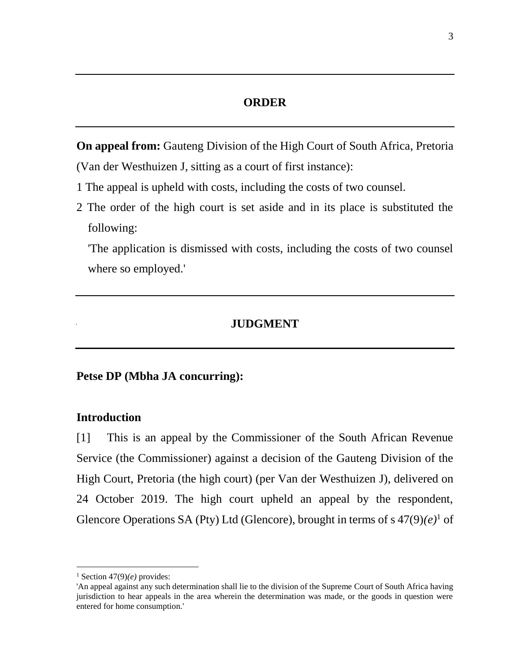#### **ORDER**

**On appeal from:** Gauteng Division of the High Court of South Africa, Pretoria (Van der Westhuizen J, sitting as a court of first instance):

- 1 The appeal is upheld with costs, including the costs of two counsel.
- 2 The order of the high court is set aside and in its place is substituted the following:

'The application is dismissed with costs, including the costs of two counsel where so employed.'

### **JUDGMENT**

#### **Petse DP (Mbha JA concurring):**

#### **Introduction**

[1] This is an appeal by the Commissioner of the South African Revenue Service (the Commissioner) against a decision of the Gauteng Division of the High Court, Pretoria (the high court) (per Van der Westhuizen J), delivered on 24 October 2019. The high court upheld an appeal by the respondent, Glencore Operations SA (Pty) Ltd (Glencore), brought in terms of s  $47(9)(e)^{1}$  of

<sup>&</sup>lt;sup>1</sup> Section  $47(9)(e)$  provides:

<sup>&#</sup>x27;An appeal against any such determination shall lie to the division of the Supreme Court of South Africa having jurisdiction to hear appeals in the area wherein the determination was made, or the goods in question were entered for home consumption.'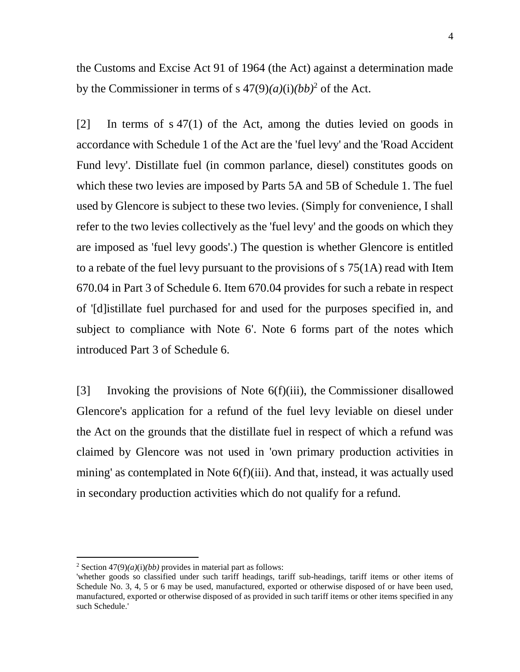the Customs and Excise Act 91 of 1964 (the Act) against a determination made by the Commissioner in terms of s  $47(9)(a)(i)(bb)^2$  of the Act.

[2] In terms of s 47(1) of the Act, among the duties levied on goods in accordance with Schedule 1 of the Act are the 'fuel levy' and the 'Road Accident Fund levy'. Distillate fuel (in common parlance, diesel) constitutes goods on which these two levies are imposed by Parts 5A and 5B of Schedule 1. The fuel used by Glencore is subject to these two levies. (Simply for convenience, I shall refer to the two levies collectively as the 'fuel levy' and the goods on which they are imposed as 'fuel levy goods'.) The question is whether Glencore is entitled to a rebate of the fuel levy pursuant to the provisions of s 75(1A) read with Item 670.04 in Part 3 of Schedule 6. Item 670.04 provides for such a rebate in respect of '[d]istillate fuel purchased for and used for the purposes specified in, and subject to compliance with Note 6'. Note 6 forms part of the notes which introduced Part 3 of Schedule 6.

[3] Invoking the provisions of Note 6(f)(iii), the Commissioner disallowed Glencore's application for a refund of the fuel levy leviable on diesel under the Act on the grounds that the distillate fuel in respect of which a refund was claimed by Glencore was not used in 'own primary production activities in mining' as contemplated in Note 6(f)(iii). And that, instead, it was actually used in secondary production activities which do not qualify for a refund.

<sup>&</sup>lt;sup>2</sup> Section  $47(9)(a)(i)(bb)$  provides in material part as follows:

<sup>&#</sup>x27;whether goods so classified under such tariff headings, tariff sub-headings, tariff items or other items of Schedule No. 3, 4, 5 or 6 may be used, manufactured, exported or otherwise disposed of or have been used, manufactured, exported or otherwise disposed of as provided in such tariff items or other items specified in any such Schedule.'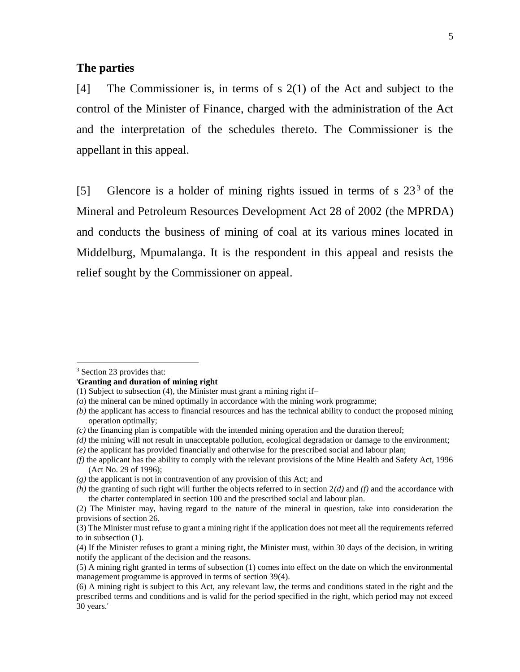#### **The parties**

[4] The Commissioner is, in terms of s 2(1) of the Act and subject to the control of the Minister of Finance, charged with the administration of the Act and the interpretation of the schedules thereto. The Commissioner is the appellant in this appeal.

[5] Glencore is a holder of mining rights issued in terms of s  $23<sup>3</sup>$  of the Mineral and Petroleum Resources Development Act 28 of 2002 (the MPRDA) and conducts the business of mining of coal at its various mines located in Middelburg, Mpumalanga. It is the respondent in this appeal and resists the relief sought by the Commissioner on appeal.

 $\overline{a}$ 

#### '**Granting and duration of mining right**

<sup>3</sup> Section 23 provides that:

<sup>(1)</sup> Subject to subsection (4), the Minister must grant a mining right if–

*<sup>(</sup>a*) the mineral can be mined optimally in accordance with the mining work programme;

*<sup>(</sup>b)* the applicant has access to financial resources and has the technical ability to conduct the proposed mining operation optimally;

*<sup>(</sup>c)* the financing plan is compatible with the intended mining operation and the duration thereof;

*<sup>(</sup>d)* the mining will not result in unacceptable pollution, ecological degradation or damage to the environment;

*<sup>(</sup>e)* the applicant has provided financially and otherwise for the prescribed social and labour plan;

*<sup>(</sup>f)* the applicant has the ability to comply with the relevant provisions of the Mine Health and Safety Act, 1996 (Act No. 29 of 1996);

*<sup>(</sup>g)* the applicant is not in contravention of any provision of this Act; and

*<sup>(</sup>h)* the granting of such right will further the objects referred to in section 2*(d)* and *(f)* and the accordance with the charter contemplated in section 100 and the prescribed social and labour plan.

<sup>(2)</sup> The Minister may, having regard to the nature of the mineral in question, take into consideration the provisions of section 26.

<sup>(3)</sup> The Minister must refuse to grant a mining right if the application does not meet all the requirements referred to in subsection (1).

<sup>(4)</sup> If the Minister refuses to grant a mining right, the Minister must, within 30 days of the decision, in writing notify the applicant of the decision and the reasons.

<sup>(5)</sup> A mining right granted in terms of subsection (1) comes into effect on the date on which the environmental management programme is approved in terms of section 39(4).

<sup>(6)</sup> A mining right is subject to this Act, any relevant law, the terms and conditions stated in the right and the prescribed terms and conditions and is valid for the period specified in the right, which period may not exceed 30 years.'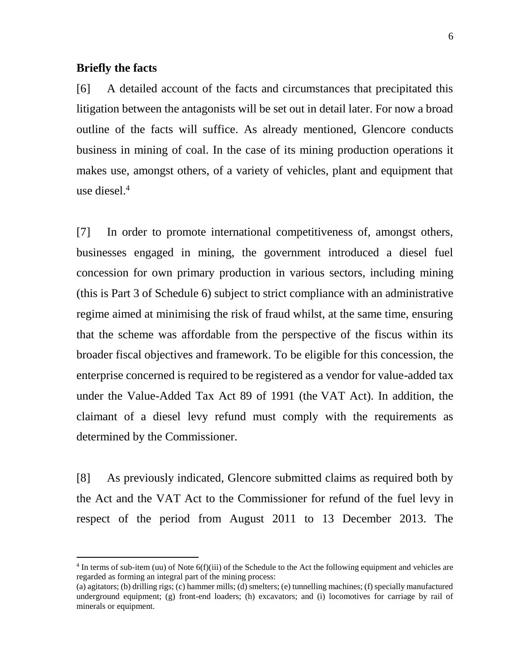#### **Briefly the facts**

 $\overline{a}$ 

[6] A detailed account of the facts and circumstances that precipitated this litigation between the antagonists will be set out in detail later. For now a broad outline of the facts will suffice. As already mentioned, Glencore conducts business in mining of coal. In the case of its mining production operations it makes use, amongst others, of a variety of vehicles, plant and equipment that use diesel.<sup>4</sup>

[7] In order to promote international competitiveness of, amongst others, businesses engaged in mining, the government introduced a diesel fuel concession for own primary production in various sectors, including mining (this is Part 3 of Schedule 6) subject to strict compliance with an administrative regime aimed at minimising the risk of fraud whilst, at the same time, ensuring that the scheme was affordable from the perspective of the fiscus within its broader fiscal objectives and framework. To be eligible for this concession, the enterprise concerned is required to be registered as a vendor for value-added tax under the Value-Added Tax Act 89 of 1991 (the VAT Act). In addition, the claimant of a diesel levy refund must comply with the requirements as determined by the Commissioner.

[8] As previously indicated, Glencore submitted claims as required both by the Act and the VAT Act to the Commissioner for refund of the fuel levy in respect of the period from August 2011 to 13 December 2013. The

 $4$  In terms of sub-item (uu) of Note  $6(f)(iii)$  of the Schedule to the Act the following equipment and vehicles are regarded as forming an integral part of the mining process:

<sup>(</sup>a) agitators; (b) drilling rigs; (c) hammer mills; (d) smelters; (e) tunnelling machines; (f) specially manufactured underground equipment; (g) front-end loaders; (h) excavators; and (i) locomotives for carriage by rail of minerals or equipment.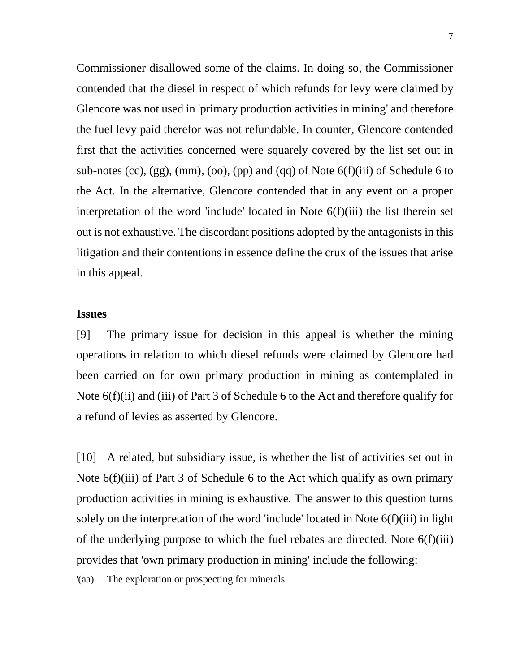Commissioner disallowed some of the claims. In doing so, the Commissioner contended that the diesel in respect of which refunds for levy were claimed by Glencore was not used in 'primary production activities in mining' and therefore the fuel levy paid therefor was not refundable. In counter, Glencore contended first that the activities concerned were squarely covered by the list set out in sub-notes (cc),  $(gg)$ , (mm), (oo), (pp) and (qq) of Note  $6(f)(iii)$  of Schedule 6 to the Act. In the alternative, Glencore contended that in any event on a proper interpretation of the word 'include' located in Note 6(f)(iii) the list therein set out is not exhaustive. The discordant positions adopted by the antagonists in this litigation and their contentions in essence define the crux of the issues that arise in this appeal.

### **Issues**

[9] The primary issue for decision in this appeal is whether the mining operations in relation to which diesel refunds were claimed by Glencore had been carried on for own primary production in mining as contemplated in Note 6(f)(ii) and (iii) of Part 3 of Schedule 6 to the Act and therefore qualify for a refund of levies as asserted by Glencore.

[10] A related, but subsidiary issue, is whether the list of activities set out in Note 6(f)(iii) of Part 3 of Schedule 6 to the Act which qualify as own primary production activities in mining is exhaustive. The answer to this question turns solely on the interpretation of the word 'include' located in Note 6(f)(iii) in light of the underlying purpose to which the fuel rebates are directed. Note 6(f)(iii) provides that 'own primary production in mining' include the following:

'(aa) The exploration or prospecting for minerals.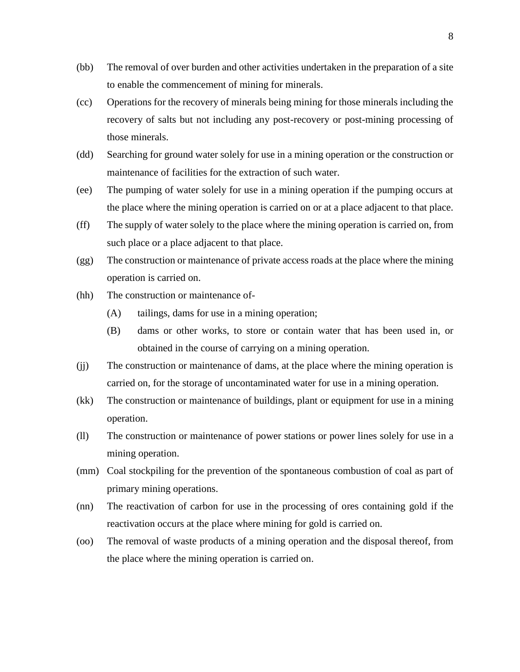- (bb) The removal of over burden and other activities undertaken in the preparation of a site to enable the commencement of mining for minerals.
- (cc) Operations for the recovery of minerals being mining for those minerals including the recovery of salts but not including any post-recovery or post-mining processing of those minerals.
- (dd) Searching for ground water solely for use in a mining operation or the construction or maintenance of facilities for the extraction of such water.
- (ee) The pumping of water solely for use in a mining operation if the pumping occurs at the place where the mining operation is carried on or at a place adjacent to that place.
- (ff) The supply of water solely to the place where the mining operation is carried on, from such place or a place adjacent to that place.
- (gg) The construction or maintenance of private access roads at the place where the mining operation is carried on.
- (hh) The construction or maintenance of-
	- (A) tailings, dams for use in a mining operation;
	- (B) dams or other works, to store or contain water that has been used in, or obtained in the course of carrying on a mining operation.
- (jj) The construction or maintenance of dams, at the place where the mining operation is carried on, for the storage of uncontaminated water for use in a mining operation.
- (kk) The construction or maintenance of buildings, plant or equipment for use in a mining operation.
- (ll) The construction or maintenance of power stations or power lines solely for use in a mining operation.
- (mm) Coal stockpiling for the prevention of the spontaneous combustion of coal as part of primary mining operations.
- (nn) The reactivation of carbon for use in the processing of ores containing gold if the reactivation occurs at the place where mining for gold is carried on.
- (oo) The removal of waste products of a mining operation and the disposal thereof, from the place where the mining operation is carried on.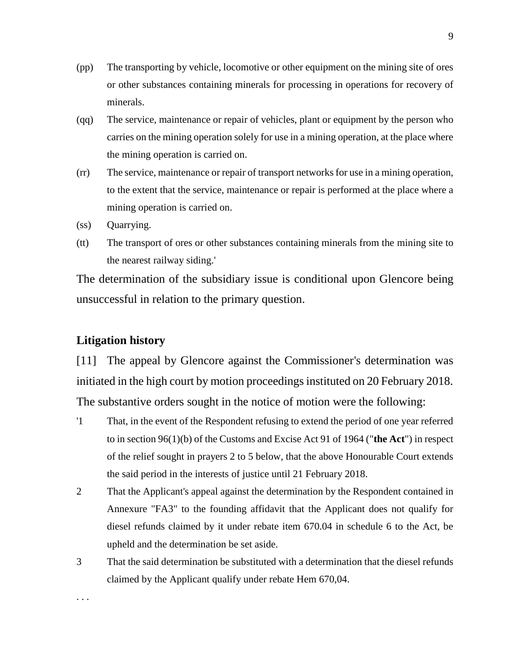- (pp) The transporting by vehicle, locomotive or other equipment on the mining site of ores or other substances containing minerals for processing in operations for recovery of minerals.
- (qq) The service, maintenance or repair of vehicles, plant or equipment by the person who carries on the mining operation solely for use in a mining operation, at the place where the mining operation is carried on.
- (rr) The service, maintenance or repair of transport networks for use in a mining operation, to the extent that the service, maintenance or repair is performed at the place where a mining operation is carried on.
- (ss) Quarrying.
- (tt) The transport of ores or other substances containing minerals from the mining site to the nearest railway siding.'

The determination of the subsidiary issue is conditional upon Glencore being unsuccessful in relation to the primary question.

### **Litigation history**

. . .

[11] The appeal by Glencore against the Commissioner's determination was initiated in the high court by motion proceedings instituted on 20 February 2018. The substantive orders sought in the notice of motion were the following:

- '1 That, in the event of the Respondent refusing to extend the period of one year referred to in section 96(1)(b) of the Customs and Excise Act 91 of 1964 ("**the Act**") in respect of the relief sought in prayers 2 to 5 below, that the above Honourable Court extends the said period in the interests of justice until 21 February 2018.
- 2 That the Applicant's appeal against the determination by the Respondent contained in Annexure "FA3" to the founding affidavit that the Applicant does not qualify for diesel refunds claimed by it under rebate item 670.04 in schedule 6 to the Act, be upheld and the determination be set aside.
- 3 That the said determination be substituted with a determination that the diesel refunds claimed by the Applicant qualify under rebate Hem 670,04.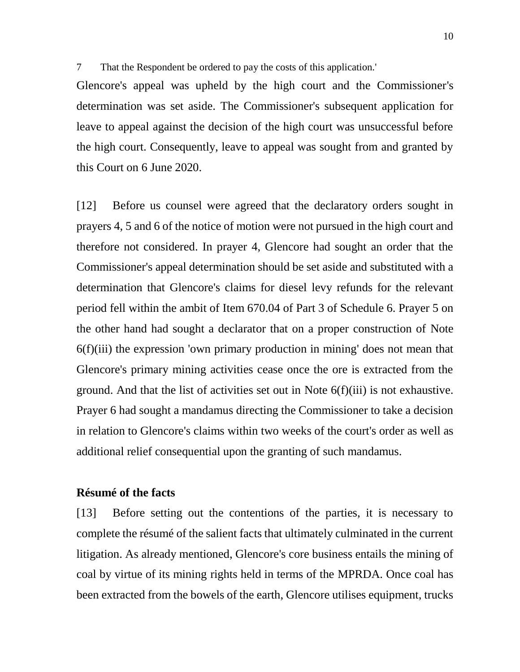7 That the Respondent be ordered to pay the costs of this application.'

Glencore's appeal was upheld by the high court and the Commissioner's determination was set aside. The Commissioner's subsequent application for leave to appeal against the decision of the high court was unsuccessful before the high court. Consequently, leave to appeal was sought from and granted by this Court on 6 June 2020.

[12] Before us counsel were agreed that the declaratory orders sought in prayers 4, 5 and 6 of the notice of motion were not pursued in the high court and therefore not considered. In prayer 4, Glencore had sought an order that the Commissioner's appeal determination should be set aside and substituted with a determination that Glencore's claims for diesel levy refunds for the relevant period fell within the ambit of Item 670.04 of Part 3 of Schedule 6. Prayer 5 on the other hand had sought a declarator that on a proper construction of Note 6(f)(iii) the expression 'own primary production in mining' does not mean that Glencore's primary mining activities cease once the ore is extracted from the ground. And that the list of activities set out in Note  $6(f)(iii)$  is not exhaustive. Prayer 6 had sought a mandamus directing the Commissioner to take a decision in relation to Glencore's claims within two weeks of the court's order as well as additional relief consequential upon the granting of such mandamus.

#### **Résumé of the facts**

[13] Before setting out the contentions of the parties, it is necessary to complete the résumé of the salient facts that ultimately culminated in the current litigation. As already mentioned, Glencore's core business entails the mining of coal by virtue of its mining rights held in terms of the MPRDA. Once coal has been extracted from the bowels of the earth, Glencore utilises equipment, trucks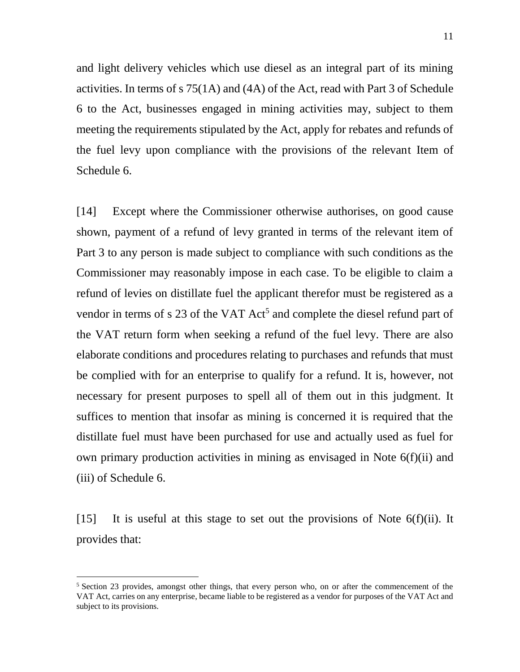and light delivery vehicles which use diesel as an integral part of its mining activities. In terms of s 75(1A) and (4A) of the Act, read with Part 3 of Schedule 6 to the Act, businesses engaged in mining activities may, subject to them meeting the requirements stipulated by the Act, apply for rebates and refunds of the fuel levy upon compliance with the provisions of the relevant Item of Schedule 6.

[14] Except where the Commissioner otherwise authorises, on good cause shown, payment of a refund of levy granted in terms of the relevant item of Part 3 to any person is made subject to compliance with such conditions as the Commissioner may reasonably impose in each case. To be eligible to claim a refund of levies on distillate fuel the applicant therefor must be registered as a vendor in terms of  $s$  23 of the VAT Act<sup>5</sup> and complete the diesel refund part of the VAT return form when seeking a refund of the fuel levy. There are also elaborate conditions and procedures relating to purchases and refunds that must be complied with for an enterprise to qualify for a refund. It is, however, not necessary for present purposes to spell all of them out in this judgment. It suffices to mention that insofar as mining is concerned it is required that the distillate fuel must have been purchased for use and actually used as fuel for own primary production activities in mining as envisaged in Note 6(f)(ii) and (iii) of Schedule 6.

[15] It is useful at this stage to set out the provisions of Note  $6(f)(ii)$ . It provides that:

 $5$  Section 23 provides, amongst other things, that every person who, on or after the commencement of the VAT Act, carries on any enterprise, became liable to be registered as a vendor for purposes of the VAT Act and subject to its provisions.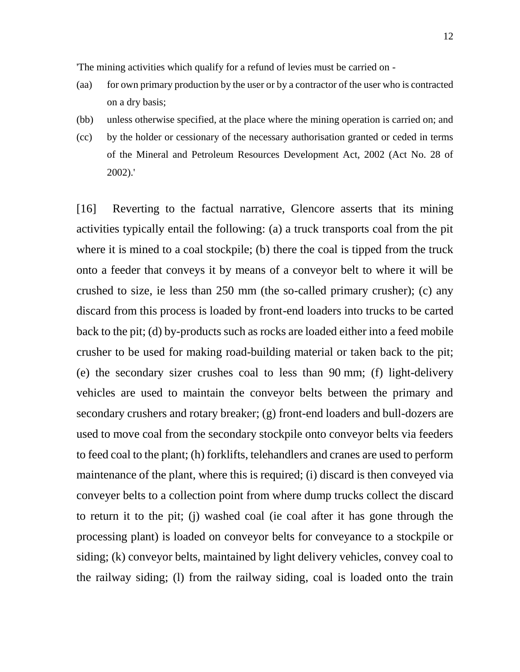'The mining activities which qualify for a refund of levies must be carried on -

- (aa) for own primary production by the user or by a contractor of the user who is contracted on a dry basis;
- (bb) unless otherwise specified, at the place where the mining operation is carried on; and
- (cc) by the holder or cessionary of the necessary authorisation granted or ceded in terms of the Mineral and Petroleum Resources Development Act, 2002 (Act No. 28 of 2002).'

[16] Reverting to the factual narrative, Glencore asserts that its mining activities typically entail the following: (a) a truck transports coal from the pit where it is mined to a coal stockpile; (b) there the coal is tipped from the truck onto a feeder that conveys it by means of a conveyor belt to where it will be crushed to size, ie less than 250 mm (the so-called primary crusher); (c) any discard from this process is loaded by front-end loaders into trucks to be carted back to the pit; (d) by-products such as rocks are loaded either into a feed mobile crusher to be used for making road-building material or taken back to the pit; (e) the secondary sizer crushes coal to less than 90 mm; (f) light-delivery vehicles are used to maintain the conveyor belts between the primary and secondary crushers and rotary breaker; (g) front-end loaders and bull-dozers are used to move coal from the secondary stockpile onto conveyor belts via feeders to feed coal to the plant; (h) forklifts, telehandlers and cranes are used to perform maintenance of the plant, where this is required; (i) discard is then conveyed via conveyer belts to a collection point from where dump trucks collect the discard to return it to the pit; (j) washed coal (ie coal after it has gone through the processing plant) is loaded on conveyor belts for conveyance to a stockpile or siding; (k) conveyor belts, maintained by light delivery vehicles, convey coal to the railway siding; (l) from the railway siding, coal is loaded onto the train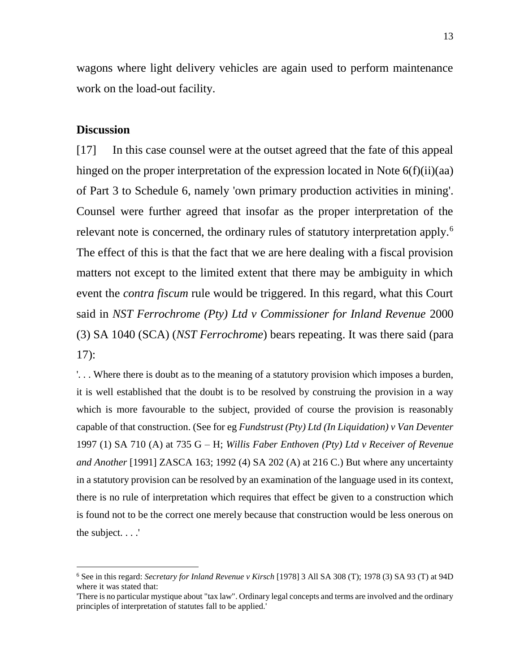wagons where light delivery vehicles are again used to perform maintenance work on the load-out facility.

#### **Discussion**

 $\overline{a}$ 

[17] In this case counsel were at the outset agreed that the fate of this appeal hinged on the proper interpretation of the expression located in Note 6(f)(ii)(aa) of Part 3 to Schedule 6, namely 'own primary production activities in mining'. Counsel were further agreed that insofar as the proper interpretation of the relevant note is concerned, the ordinary rules of statutory interpretation apply.<sup>6</sup> The effect of this is that the fact that we are here dealing with a fiscal provision matters not except to the limited extent that there may be ambiguity in which event the *contra fiscum* rule would be triggered. In this regard, what this Court said in *NST Ferrochrome (Pty) Ltd v Commissioner for Inland Revenue* 2000 (3) SA 1040 (SCA) (*NST Ferrochrome*) bears repeating. It was there said (para 17):

'. . . Where there is doubt as to the meaning of a statutory provision which imposes a burden, it is well established that the doubt is to be resolved by construing the provision in a way which is more favourable to the subject, provided of course the provision is reasonably capable of that construction. (See for eg *Fundstrust (Pty) Ltd (In Liquidation) v Van Deventer* 1997 (1) SA 710 (A) at 735 G – H; *Willis Faber Enthoven (Pty) Ltd v Receiver of Revenue and Another* [1991] ZASCA 163; 1992 (4) SA 202 (A) at 216 C.) But where any uncertainty in a statutory provision can be resolved by an examination of the language used in its context, there is no rule of interpretation which requires that effect be given to a construction which is found not to be the correct one merely because that construction would be less onerous on the subject. . . .'

<sup>6</sup> See in this regard: *Secretary for Inland Revenue v Kirsch* [1978] 3 All SA 308 (T); 1978 (3) SA 93 (T) at 94D where it was stated that:

<sup>&#</sup>x27;There is no particular mystique about "tax law". Ordinary legal concepts and terms are involved and the ordinary principles of interpretation of statutes fall to be applied.'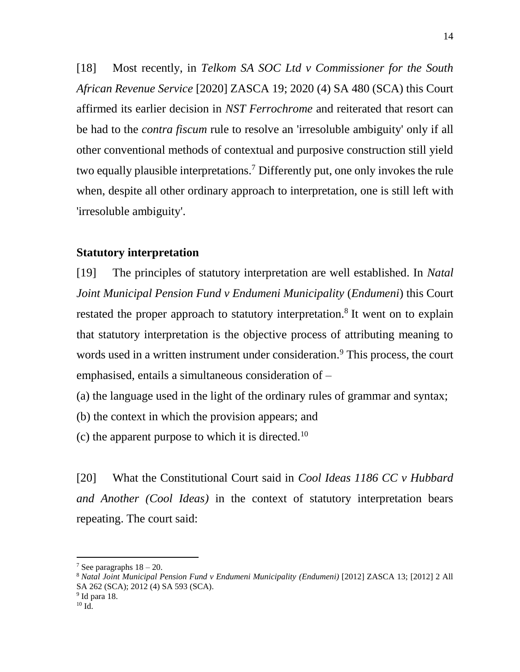[18] Most recently, in *Telkom SA SOC Ltd v Commissioner for the South African Revenue Service* [2020] ZASCA 19; 2020 (4) SA 480 (SCA) this Court affirmed its earlier decision in *NST Ferrochrome* and reiterated that resort can be had to the *contra fiscum* rule to resolve an 'irresoluble ambiguity' only if all other conventional methods of contextual and purposive construction still yield two equally plausible interpretations.<sup>7</sup> Differently put, one only invokes the rule when, despite all other ordinary approach to interpretation, one is still left with 'irresoluble ambiguity'.

#### **Statutory interpretation**

[19] The principles of statutory interpretation are well established. In *Natal Joint Municipal Pension Fund v Endumeni Municipality* (*Endumeni*) this Court restated the proper approach to statutory interpretation.<sup>8</sup> It went on to explain that statutory interpretation is the objective process of attributing meaning to words used in a written instrument under consideration.<sup>9</sup> This process, the court emphasised, entails a simultaneous consideration of –

(a) the language used in the light of the ordinary rules of grammar and syntax;

(b) the context in which the provision appears; and

(c) the apparent purpose to which it is directed.<sup>10</sup>

[20] What the Constitutional Court said in *Cool Ideas 1186 CC v Hubbard and Another (Cool Ideas)* in the context of statutory interpretation bears repeating. The court said:

<sup>&</sup>lt;sup>7</sup> See paragraphs  $18 - 20$ .

<sup>8</sup> *Natal Joint Municipal Pension Fund v Endumeni Municipality (Endumeni)* [2012] ZASCA 13; [2012] 2 All SA 262 (SCA); 2012 (4) SA 593 (SCA).

<sup>&</sup>lt;sup>9</sup> Id para 18.

 $^{10}$  Id.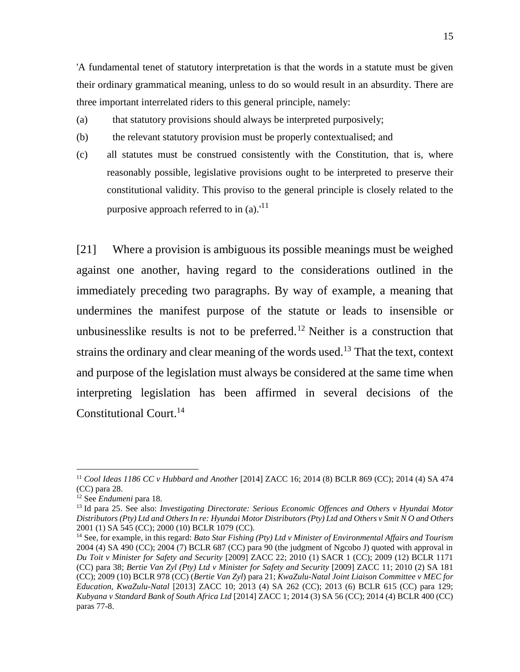'A fundamental tenet of statutory interpretation is that the words in a statute must be given their ordinary grammatical meaning, unless to do so would result in an absurdity. There are three important interrelated riders to this general principle, namely:

- (a) that statutory provisions should always be interpreted purposively;
- (b) the relevant statutory provision must be properly contextualised; and
- (c) all statutes must be construed consistently with the Constitution, that is, where reasonably possible, legislative provisions ought to be interpreted to preserve their constitutional validity. This proviso to the general principle is closely related to the purposive approach referred to in  $(a)$ .<sup>11</sup>

[21] Where a provision is ambiguous its possible meanings must be weighed against one another, having regard to the considerations outlined in the immediately preceding two paragraphs. By way of example, a meaning that undermines the manifest purpose of the statute or leads to insensible or unbusinesslike results is not to be preferred.<sup>12</sup> Neither is a construction that strains the ordinary and clear meaning of the words used.<sup>13</sup> That the text, context and purpose of the legislation must always be considered at the same time when interpreting legislation has been affirmed in several decisions of the Constitutional Court.<sup>14</sup>

<sup>11</sup> *Cool Ideas 1186 CC v Hubbard and Another* [2014] ZACC 16; 2014 (8) BCLR 869 (CC); 2014 (4) SA 474 (CC) para 28.

<sup>12</sup> See *Endumeni* para 18.

<sup>13</sup> Id para 25. See also: *Investigating Directorate: Serious Economic Offences and Others v Hyundai Motor Distributors (Pty) Ltd and Others In re: Hyundai Motor Distributors (Pty) Ltd and Others v Smit N O and Others*  2001 (1) SA 545 (CC); 2000 (10) BCLR 1079 (CC).

<sup>14</sup> See, for example, in this regard: *Bato Star Fishing (Pty) Ltd v Minister of Environmental Affairs and Tourism* 2004 (4) SA 490 (CC); 2004 (7) BCLR 687 (CC) para 90 (the judgment of Ngcobo J) quoted with approval in *Du Toit v Minister for Safety and Security* [2009] ZACC 22; 2010 (1) SACR 1 (CC); 2009 (12) BCLR 1171 (CC) para 38; *Bertie Van Zyl (Pty) Ltd v Minister for Safety and Security* [2009] ZACC 11; 2010 (2) SA 181 (CC); 2009 (10) BCLR 978 (CC) (*Bertie Van Zyl*) para 21; *KwaZulu-Natal Joint Liaison Committee v MEC for Education, KwaZulu-Natal* [2013] ZACC 10; 2013 (4) SA 262 (CC); 2013 (6) BCLR 615 (CC) para 129; *Kubyana v Standard Bank of South Africa Ltd* [2014] ZACC 1; 2014 (3) SA 56 (CC); 2014 (4) BCLR 400 (CC) paras 77-8.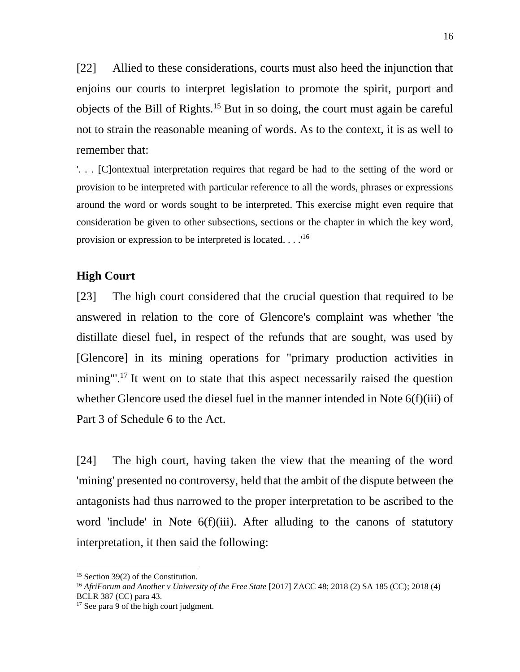[22] Allied to these considerations, courts must also heed the injunction that enjoins our courts to interpret legislation to promote the spirit, purport and objects of the Bill of Rights.<sup>15</sup> But in so doing, the court must again be careful not to strain the reasonable meaning of words. As to the context, it is as well to remember that:

'. . . [C]ontextual interpretation requires that regard be had to the setting of the word or provision to be interpreted with particular reference to all the words, phrases or expressions around the word or words sought to be interpreted. This exercise might even require that consideration be given to other subsections, sections or the chapter in which the key word, provision or expression to be interpreted is located. . . .<sup>16</sup>

#### **High Court**

[23] The high court considered that the crucial question that required to be answered in relation to the core of Glencore's complaint was whether 'the distillate diesel fuel, in respect of the refunds that are sought, was used by [Glencore] in its mining operations for "primary production activities in mining"<sup>'</sup>.<sup>17</sup> It went on to state that this aspect necessarily raised the question whether Glencore used the diesel fuel in the manner intended in Note 6(f)(iii) of Part 3 of Schedule 6 to the Act.

[24] The high court, having taken the view that the meaning of the word 'mining' presented no controversy, held that the ambit of the dispute between the antagonists had thus narrowed to the proper interpretation to be ascribed to the word 'include' in Note 6(f)(iii). After alluding to the canons of statutory interpretation, it then said the following:

<sup>&</sup>lt;sup>15</sup> Section 39(2) of the Constitution.

<sup>16</sup> *AfriForum and Another v University of the Free State* [2017] ZACC 48; 2018 (2) SA 185 (CC); 2018 (4) BCLR 387 (CC) para 43.

<sup>&</sup>lt;sup>17</sup> See para 9 of the high court judgment.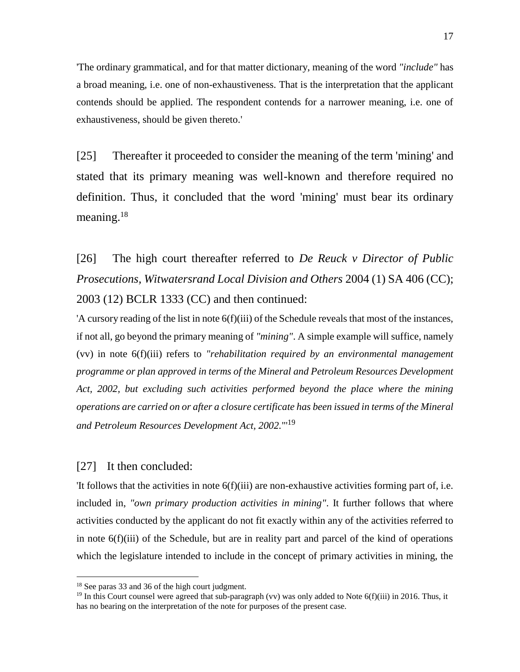'The ordinary grammatical, and for that matter dictionary, meaning of the word *"include"* has a broad meaning, i.e. one of non-exhaustiveness. That is the interpretation that the applicant contends should be applied. The respondent contends for a narrower meaning, i.e. one of exhaustiveness, should be given thereto.'

[25] Thereafter it proceeded to consider the meaning of the term 'mining' and stated that its primary meaning was well-known and therefore required no definition. Thus, it concluded that the word 'mining' must bear its ordinary meaning.<sup>18</sup>

[26] The high court thereafter referred to *De Reuck v Director of Public Prosecutions, Witwatersrand Local Division and Others* 2004 (1) SA 406 (CC); 2003 (12) BCLR 1333 (CC) and then continued:

'A cursory reading of the list in note 6(f)(iii) of the Schedule reveals that most of the instances, if not all, go beyond the primary meaning of *"mining"*. A simple example will suffice, namely (vv) in note 6(f)(iii) refers to *"rehabilitation required by an environmental management programme or plan approved in terms of the Mineral and Petroleum Resources Development Act, 2002, but excluding such activities performed beyond the place where the mining operations are carried on or after a closure certificate has been issued in terms of the Mineral and Petroleum Resources Development Act, 2002.*"' 19

#### [27] It then concluded:

 $\overline{a}$ 

'It follows that the activities in note 6(f)(iii) are non-exhaustive activities forming part of, i.e. included in, *"own primary production activities in mining"*. It further follows that where activities conducted by the applicant do not fit exactly within any of the activities referred to in note 6(f)(iii) of the Schedule, but are in reality part and parcel of the kind of operations which the legislature intended to include in the concept of primary activities in mining, the

<sup>18</sup> See paras 33 and 36 of the high court judgment.

<sup>&</sup>lt;sup>19</sup> In this Court counsel were agreed that sub-paragraph (vv) was only added to Note  $6(f)(iii)$  in 2016. Thus, it has no bearing on the interpretation of the note for purposes of the present case.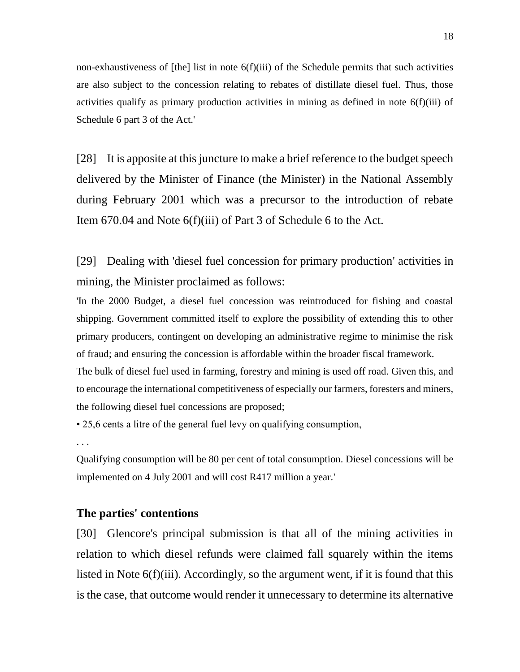non-exhaustiveness of  $[the]$  list in note  $6(f)(iii)$  of the Schedule permits that such activities are also subject to the concession relating to rebates of distillate diesel fuel. Thus, those activities qualify as primary production activities in mining as defined in note 6(f)(iii) of Schedule 6 part 3 of the Act.'

[28] It is apposite at this juncture to make a brief reference to the budget speech delivered by the Minister of Finance (the Minister) in the National Assembly during February 2001 which was a precursor to the introduction of rebate Item 670.04 and Note 6(f)(iii) of Part 3 of Schedule 6 to the Act.

[29] Dealing with 'diesel fuel concession for primary production' activities in mining, the Minister proclaimed as follows:

'In the 2000 Budget, a diesel fuel concession was reintroduced for fishing and coastal shipping. Government committed itself to explore the possibility of extending this to other primary producers, contingent on developing an administrative regime to minimise the risk of fraud; and ensuring the concession is affordable within the broader fiscal framework.

The bulk of diesel fuel used in farming, forestry and mining is used off road. Given this, and to encourage the international competitiveness of especially our farmers, foresters and miners, the following diesel fuel concessions are proposed;

• 25,6 cents a litre of the general fuel levy on qualifying consumption,

. . .

Qualifying consumption will be 80 per cent of total consumption. Diesel concessions will be implemented on 4 July 2001 and will cost R417 million a year.'

#### **The parties' contentions**

[30] Glencore's principal submission is that all of the mining activities in relation to which diesel refunds were claimed fall squarely within the items listed in Note 6(f)(iii). Accordingly, so the argument went, if it is found that this is the case, that outcome would render it unnecessary to determine its alternative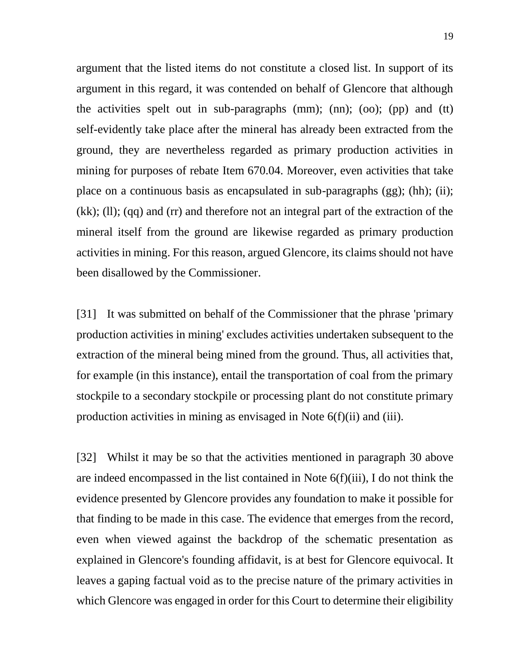argument that the listed items do not constitute a closed list. In support of its argument in this regard, it was contended on behalf of Glencore that although the activities spelt out in sub-paragraphs  $(nm)$ ;  $(nn)$ ;  $(oo)$ ;  $(pp)$  and  $(tt)$ self-evidently take place after the mineral has already been extracted from the ground, they are nevertheless regarded as primary production activities in mining for purposes of rebate Item 670.04. Moreover, even activities that take place on a continuous basis as encapsulated in sub-paragraphs (gg); (hh); (ii); (kk); (ll); (qq) and (rr) and therefore not an integral part of the extraction of the mineral itself from the ground are likewise regarded as primary production activities in mining. For this reason, argued Glencore, its claims should not have been disallowed by the Commissioner.

[31] It was submitted on behalf of the Commissioner that the phrase 'primary production activities in mining' excludes activities undertaken subsequent to the extraction of the mineral being mined from the ground. Thus, all activities that, for example (in this instance), entail the transportation of coal from the primary stockpile to a secondary stockpile or processing plant do not constitute primary production activities in mining as envisaged in Note 6(f)(ii) and (iii).

[32] Whilst it may be so that the activities mentioned in paragraph 30 above are indeed encompassed in the list contained in Note 6(f)(iii), I do not think the evidence presented by Glencore provides any foundation to make it possible for that finding to be made in this case. The evidence that emerges from the record, even when viewed against the backdrop of the schematic presentation as explained in Glencore's founding affidavit, is at best for Glencore equivocal. It leaves a gaping factual void as to the precise nature of the primary activities in which Glencore was engaged in order for this Court to determine their eligibility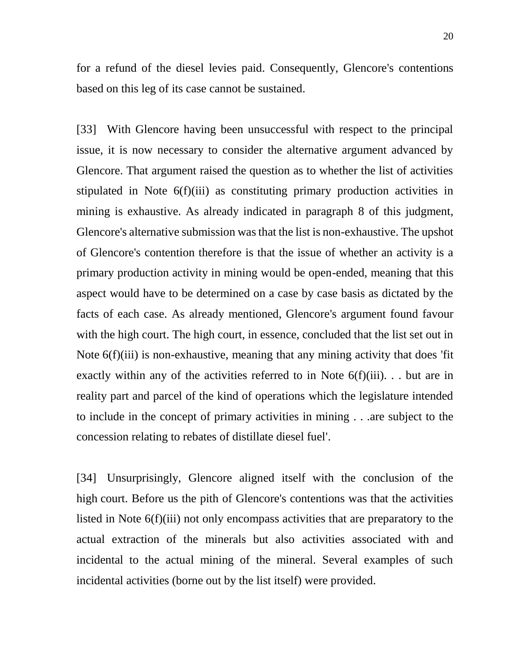for a refund of the diesel levies paid. Consequently, Glencore's contentions based on this leg of its case cannot be sustained.

[33] With Glencore having been unsuccessful with respect to the principal issue, it is now necessary to consider the alternative argument advanced by Glencore. That argument raised the question as to whether the list of activities stipulated in Note 6(f)(iii) as constituting primary production activities in mining is exhaustive. As already indicated in paragraph 8 of this judgment, Glencore's alternative submission was that the list is non-exhaustive. The upshot of Glencore's contention therefore is that the issue of whether an activity is a primary production activity in mining would be open-ended, meaning that this aspect would have to be determined on a case by case basis as dictated by the facts of each case. As already mentioned, Glencore's argument found favour with the high court. The high court, in essence, concluded that the list set out in Note 6(f)(iii) is non-exhaustive, meaning that any mining activity that does 'fit exactly within any of the activities referred to in Note  $6(f)(iii)$ ... but are in reality part and parcel of the kind of operations which the legislature intended to include in the concept of primary activities in mining . . .are subject to the concession relating to rebates of distillate diesel fuel'.

[34] Unsurprisingly, Glencore aligned itself with the conclusion of the high court. Before us the pith of Glencore's contentions was that the activities listed in Note 6(f)(iii) not only encompass activities that are preparatory to the actual extraction of the minerals but also activities associated with and incidental to the actual mining of the mineral. Several examples of such incidental activities (borne out by the list itself) were provided.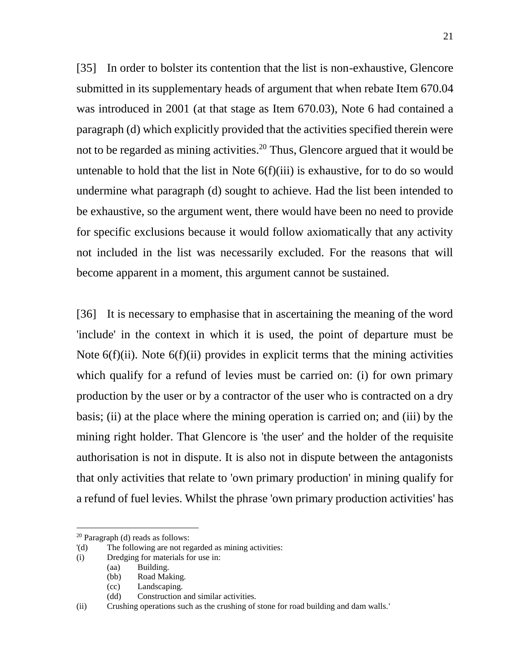[35] In order to bolster its contention that the list is non-exhaustive, Glencore submitted in its supplementary heads of argument that when rebate Item 670.04 was introduced in 2001 (at that stage as Item 670.03), Note 6 had contained a paragraph (d) which explicitly provided that the activities specified therein were not to be regarded as mining activities.<sup>20</sup> Thus, Glencore argued that it would be untenable to hold that the list in Note 6(f)(iii) is exhaustive, for to do so would undermine what paragraph (d) sought to achieve. Had the list been intended to be exhaustive, so the argument went, there would have been no need to provide for specific exclusions because it would follow axiomatically that any activity not included in the list was necessarily excluded. For the reasons that will become apparent in a moment, this argument cannot be sustained.

[36] It is necessary to emphasise that in ascertaining the meaning of the word 'include' in the context in which it is used, the point of departure must be Note  $6(f)(ii)$ . Note  $6(f)(ii)$  provides in explicit terms that the mining activities which qualify for a refund of levies must be carried on: (i) for own primary production by the user or by a contractor of the user who is contracted on a dry basis; (ii) at the place where the mining operation is carried on; and (iii) by the mining right holder. That Glencore is 'the user' and the holder of the requisite authorisation is not in dispute. It is also not in dispute between the antagonists that only activities that relate to 'own primary production' in mining qualify for a refund of fuel levies. Whilst the phrase 'own primary production activities' has

<sup>20</sup> Paragraph (d) reads as follows:

<sup>&#</sup>x27;(d) The following are not regarded as mining activities:

<sup>(</sup>i) Dredging for materials for use in:

<sup>(</sup>aa) Building.

<sup>(</sup>bb) Road Making.

<sup>(</sup>cc) Landscaping.

<sup>(</sup>dd) Construction and similar activities.

<sup>(</sup>ii) Crushing operations such as the crushing of stone for road building and dam walls.'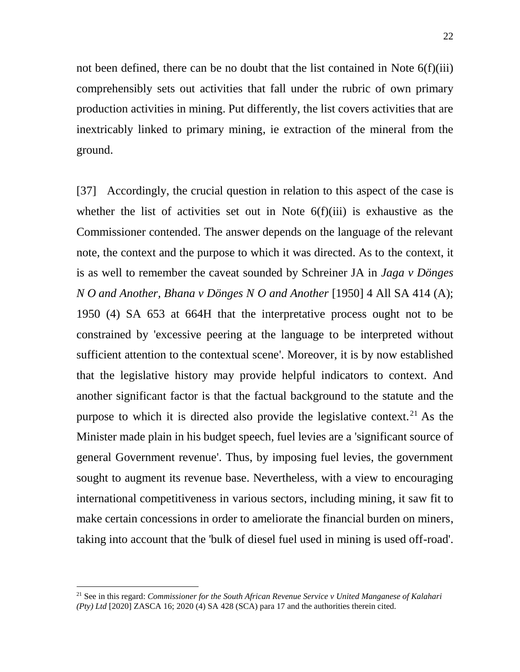22

not been defined, there can be no doubt that the list contained in Note 6(f)(iii) comprehensibly sets out activities that fall under the rubric of own primary production activities in mining. Put differently, the list covers activities that are inextricably linked to primary mining, ie extraction of the mineral from the ground.

[37] Accordingly, the crucial question in relation to this aspect of the case is whether the list of activities set out in Note  $6(f)(iii)$  is exhaustive as the Commissioner contended. The answer depends on the language of the relevant note, the context and the purpose to which it was directed. As to the context, it is as well to remember the caveat sounded by Schreiner JA in *Jaga v Dönges N O and Another, Bhana v Dönges N O and Another* [1950] 4 All SA 414 (A); 1950 (4) SA 653 at 664H that the interpretative process ought not to be constrained by 'excessive peering at the language to be interpreted without sufficient attention to the contextual scene'. Moreover, it is by now established that the legislative history may provide helpful indicators to context. And another significant factor is that the factual background to the statute and the purpose to which it is directed also provide the legislative context.<sup>21</sup> As the Minister made plain in his budget speech, fuel levies are a 'significant source of general Government revenue'. Thus, by imposing fuel levies, the government sought to augment its revenue base. Nevertheless, with a view to encouraging international competitiveness in various sectors, including mining, it saw fit to make certain concessions in order to ameliorate the financial burden on miners, taking into account that the 'bulk of diesel fuel used in mining is used off-road'.

<sup>21</sup> See in this regard: *Commissioner for the South African Revenue Service v United Manganese of Kalahari (Pty) Ltd* [2020] ZASCA 16; 2020 (4) SA 428 (SCA) para 17 and the authorities therein cited.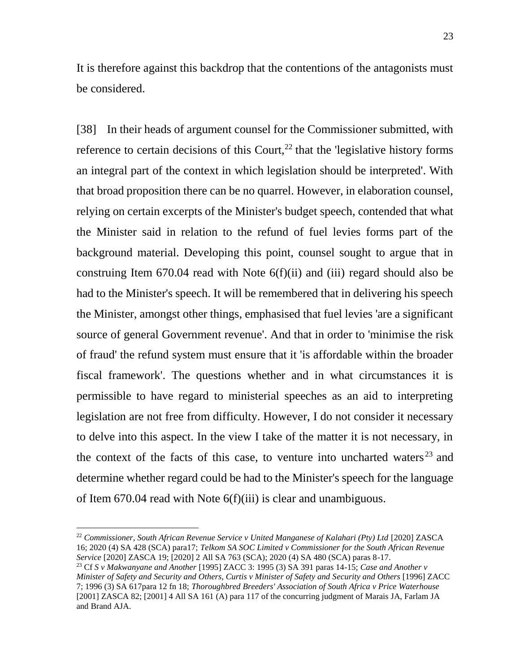It is therefore against this backdrop that the contentions of the antagonists must be considered.

[38] In their heads of argument counsel for the Commissioner submitted, with reference to certain decisions of this Court, $^{22}$  that the 'legislative history forms an integral part of the context in which legislation should be interpreted'. With that broad proposition there can be no quarrel. However, in elaboration counsel, relying on certain excerpts of the Minister's budget speech, contended that what the Minister said in relation to the refund of fuel levies forms part of the background material. Developing this point, counsel sought to argue that in construing Item  $670.04$  read with Note  $6(f)(ii)$  and (iii) regard should also be had to the Minister's speech. It will be remembered that in delivering his speech the Minister, amongst other things, emphasised that fuel levies 'are a significant source of general Government revenue'. And that in order to 'minimise the risk of fraud' the refund system must ensure that it 'is affordable within the broader fiscal framework'. The questions whether and in what circumstances it is permissible to have regard to ministerial speeches as an aid to interpreting legislation are not free from difficulty. However, I do not consider it necessary to delve into this aspect. In the view I take of the matter it is not necessary, in the context of the facts of this case, to venture into uncharted waters  $23$  and determine whether regard could be had to the Minister's speech for the language of Item 670.04 read with Note 6(f)(iii) is clear and unambiguous.

<sup>22</sup> *Commissioner, South African Revenue Service v United Manganese of Kalahari (Pty) Ltd* [2020] ZASCA 16; 2020 (4) SA 428 (SCA) para17; *Telkom SA SOC Limited v Commissioner for the South African Revenue Service* [2020] ZASCA 19; [2020] 2 All SA 763 (SCA); 2020 (4) SA 480 (SCA) paras 8-17.

<sup>23</sup> Cf *S v Makwanyane and Another* [1995] ZACC 3: 1995 (3) SA 391 paras 14-15; *Case and Another v Minister of Safety and Security and Others, Curtis v Minister of Safety and Security and Others* [1996] ZACC 7; 1996 (3) SA 617para 12 fn 18; *Thoroughbred Breeders' Association of South Africa v Price Waterhouse*  [2001] ZASCA 82; [2001] 4 All SA 161 (A) para 117 of the concurring judgment of Marais JA, Farlam JA and Brand AJA.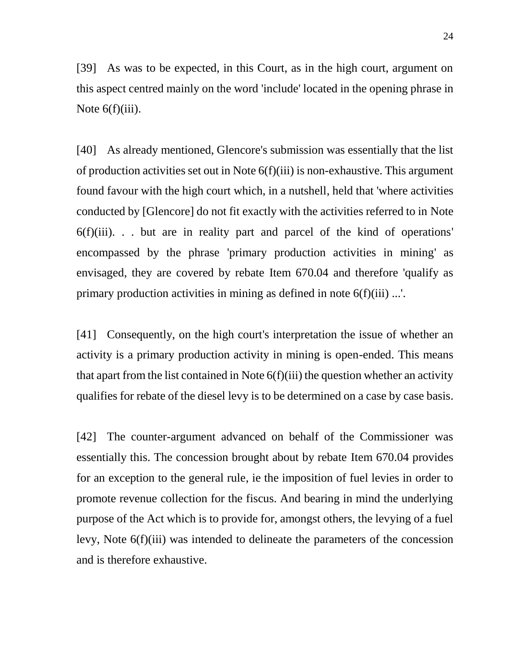[39] As was to be expected, in this Court, as in the high court, argument on this aspect centred mainly on the word 'include' located in the opening phrase in Note 6(f)(iii).

[40] As already mentioned, Glencore's submission was essentially that the list of production activities set out in Note 6(f)(iii) is non-exhaustive. This argument found favour with the high court which, in a nutshell, held that 'where activities conducted by [Glencore] do not fit exactly with the activities referred to in Note  $6(f)(iii)$ ... but are in reality part and parcel of the kind of operations' encompassed by the phrase 'primary production activities in mining' as envisaged, they are covered by rebate Item 670.04 and therefore 'qualify as primary production activities in mining as defined in note 6(f)(iii) ...'.

[41] Consequently, on the high court's interpretation the issue of whether an activity is a primary production activity in mining is open-ended. This means that apart from the list contained in Note 6(f)(iii) the question whether an activity qualifies for rebate of the diesel levy is to be determined on a case by case basis.

[42] The counter-argument advanced on behalf of the Commissioner was essentially this. The concession brought about by rebate Item 670.04 provides for an exception to the general rule, ie the imposition of fuel levies in order to promote revenue collection for the fiscus. And bearing in mind the underlying purpose of the Act which is to provide for, amongst others, the levying of a fuel levy, Note 6(f)(iii) was intended to delineate the parameters of the concession and is therefore exhaustive.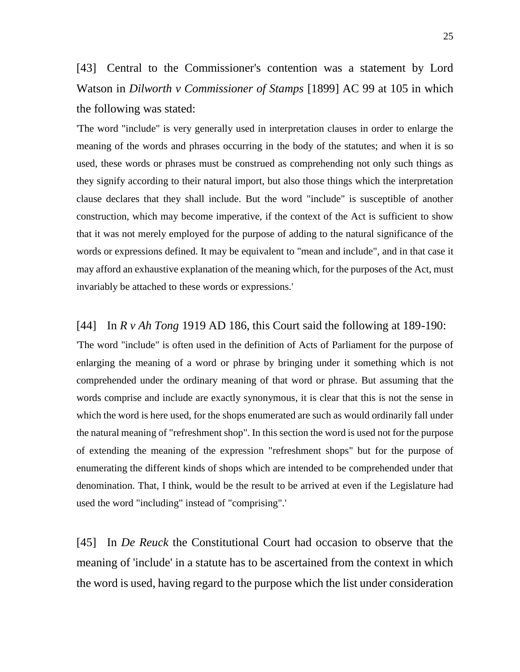[43] Central to the Commissioner's contention was a statement by Lord Watson in *Dilworth v Commissioner of Stamps* [1899] AC 99 at 105 in which the following was stated:

'The word "include" is very generally used in interpretation clauses in order to enlarge the meaning of the words and phrases occurring in the body of the statutes; and when it is so used, these words or phrases must be construed as comprehending not only such things as they signify according to their natural import, but also those things which the interpretation clause declares that they shall include. But the word "include" is susceptible of another construction, which may become imperative, if the context of the Act is sufficient to show that it was not merely employed for the purpose of adding to the natural significance of the words or expressions defined. It may be equivalent to "mean and include", and in that case it may afford an exhaustive explanation of the meaning which, for the purposes of the Act, must invariably be attached to these words or expressions.'

#### [44] In *R v Ah Tong* 1919 AD 186, this Court said the following at 189-190:

'The word "include" is often used in the definition of Acts of Parliament for the purpose of enlarging the meaning of a word or phrase by bringing under it something which is not comprehended under the ordinary meaning of that word or phrase. But assuming that the words comprise and include are exactly synonymous, it is clear that this is not the sense in which the word is here used, for the shops enumerated are such as would ordinarily fall under the natural meaning of "refreshment shop". In this section the word is used not for the purpose of extending the meaning of the expression "refreshment shops" but for the purpose of enumerating the different kinds of shops which are intended to be comprehended under that denomination. That, I think, would be the result to be arrived at even if the Legislature had used the word "including" instead of "comprising".'

[45] In *De Reuck* the Constitutional Court had occasion to observe that the meaning of 'include' in a statute has to be ascertained from the context in which the word is used, having regard to the purpose which the list under consideration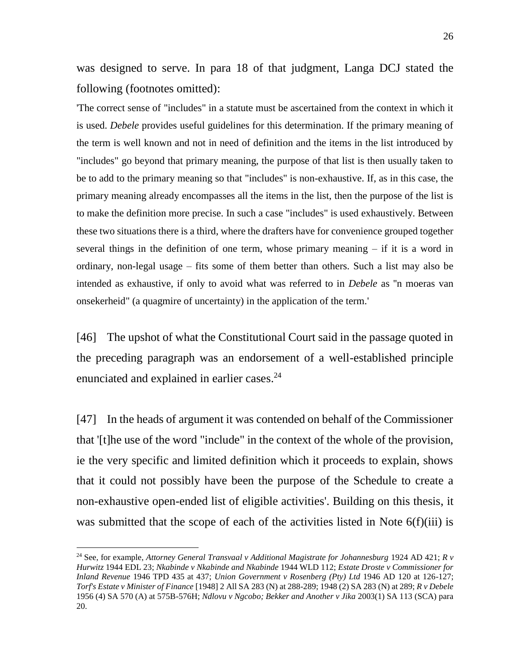was designed to serve. In para 18 of that judgment, Langa DCJ stated the following (footnotes omitted):

'The correct sense of "includes" in a statute must be ascertained from the context in which it is used. *Debele* provides useful guidelines for this determination. If the primary meaning of the term is well known and not in need of definition and the items in the list introduced by "includes" go beyond that primary meaning, the purpose of that list is then usually taken to be to add to the primary meaning so that "includes" is non-exhaustive. If, as in this case, the primary meaning already encompasses all the items in the list, then the purpose of the list is to make the definition more precise. In such a case "includes" is used exhaustively. Between these two situations there is a third, where the drafters have for convenience grouped together several things in the definition of one term, whose primary meaning – if it is a word in ordinary, non-legal usage – fits some of them better than others. Such a list may also be intended as exhaustive, if only to avoid what was referred to in *Debele* as ''n moeras van onsekerheid" (a quagmire of uncertainty) in the application of the term.'

[46] The upshot of what the Constitutional Court said in the passage quoted in the preceding paragraph was an endorsement of a well-established principle enunciated and explained in earlier cases.<sup>24</sup>

[47] In the heads of argument it was contended on behalf of the Commissioner that '[t]he use of the word "include" in the context of the whole of the provision, ie the very specific and limited definition which it proceeds to explain, shows that it could not possibly have been the purpose of the Schedule to create a non-exhaustive open-ended list of eligible activities'. Building on this thesis, it was submitted that the scope of each of the activities listed in Note 6(f)(iii) is

<sup>24</sup> See, for example, *Attorney General Transvaal v Additional Magistrate for Johannesburg* 1924 AD 421; *R v Hurwitz* 1944 EDL 23; *Nkabinde v Nkabinde and Nkabinde* 1944 WLD 112; *Estate Droste v Commissioner for Inland Revenue* 1946 TPD 435 at 437; *Union Government v Rosenberg (Pty) Ltd* 1946 AD 120 at 126-127; *Torf's Estate v Minister of Finance* [1948] 2 All SA 283 (N) at 288-289; 1948 (2) SA 283 (N) at 289; *R v Debele* 1956 (4) SA 570 (A) at 575B-576H; *Ndlovu v Ngcobo; Bekker and Another v Jika* 2003(1) SA 113 (SCA) para 20.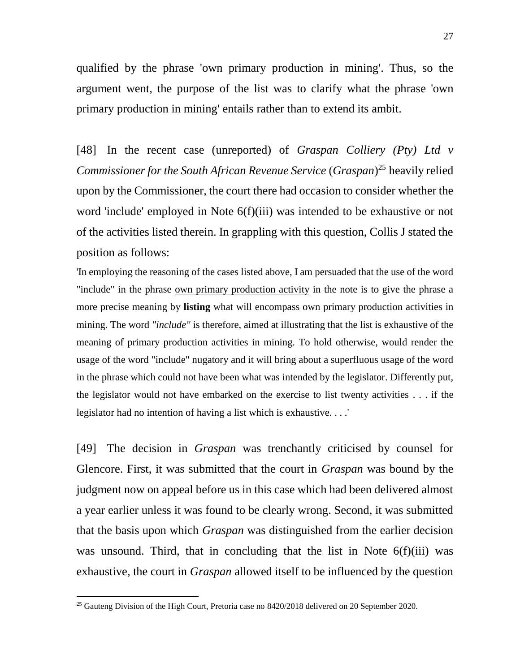qualified by the phrase 'own primary production in mining'. Thus, so the argument went, the purpose of the list was to clarify what the phrase 'own primary production in mining' entails rather than to extend its ambit.

[48] In the recent case (unreported) of *Graspan Colliery (Pty) Ltd v Commissioner for the South African Revenue Service* (*Graspan*) <sup>25</sup> heavily relied upon by the Commissioner, the court there had occasion to consider whether the word 'include' employed in Note 6(f)(iii) was intended to be exhaustive or not of the activities listed therein. In grappling with this question, Collis J stated the position as follows:

'In employing the reasoning of the cases listed above, I am persuaded that the use of the word "include" in the phrase own primary production activity in the note is to give the phrase a more precise meaning by **listing** what will encompass own primary production activities in mining. The word *"include"* is therefore, aimed at illustrating that the list is exhaustive of the meaning of primary production activities in mining. To hold otherwise, would render the usage of the word "include" nugatory and it will bring about a superfluous usage of the word in the phrase which could not have been what was intended by the legislator. Differently put, the legislator would not have embarked on the exercise to list twenty activities . . . if the legislator had no intention of having a list which is exhaustive. . . .'

[49] The decision in *Graspan* was trenchantly criticised by counsel for Glencore. First, it was submitted that the court in *Graspan* was bound by the judgment now on appeal before us in this case which had been delivered almost a year earlier unless it was found to be clearly wrong. Second, it was submitted that the basis upon which *Graspan* was distinguished from the earlier decision was unsound. Third, that in concluding that the list in Note 6(f)(iii) was exhaustive, the court in *Graspan* allowed itself to be influenced by the question

 $25$  Gauteng Division of the High Court, Pretoria case no  $8420/2018$  delivered on 20 September 2020.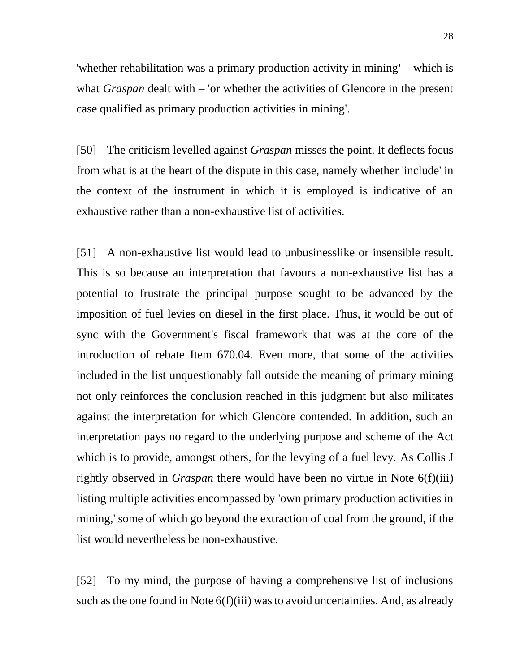'whether rehabilitation was a primary production activity in mining' – which is what *Graspan* dealt with – 'or whether the activities of Glencore in the present case qualified as primary production activities in mining'.

[50] The criticism levelled against *Graspan* misses the point. It deflects focus from what is at the heart of the dispute in this case, namely whether 'include' in the context of the instrument in which it is employed is indicative of an exhaustive rather than a non-exhaustive list of activities.

[51] A non-exhaustive list would lead to unbusinesslike or insensible result. This is so because an interpretation that favours a non-exhaustive list has a potential to frustrate the principal purpose sought to be advanced by the imposition of fuel levies on diesel in the first place. Thus, it would be out of sync with the Government's fiscal framework that was at the core of the introduction of rebate Item 670.04. Even more, that some of the activities included in the list unquestionably fall outside the meaning of primary mining not only reinforces the conclusion reached in this judgment but also militates against the interpretation for which Glencore contended. In addition, such an interpretation pays no regard to the underlying purpose and scheme of the Act which is to provide, amongst others, for the levying of a fuel levy. As Collis J rightly observed in *Graspan* there would have been no virtue in Note 6(f)(iii) listing multiple activities encompassed by 'own primary production activities in mining,' some of which go beyond the extraction of coal from the ground, if the list would nevertheless be non-exhaustive.

[52] To my mind, the purpose of having a comprehensive list of inclusions such as the one found in Note 6(f)(iii) was to avoid uncertainties. And, as already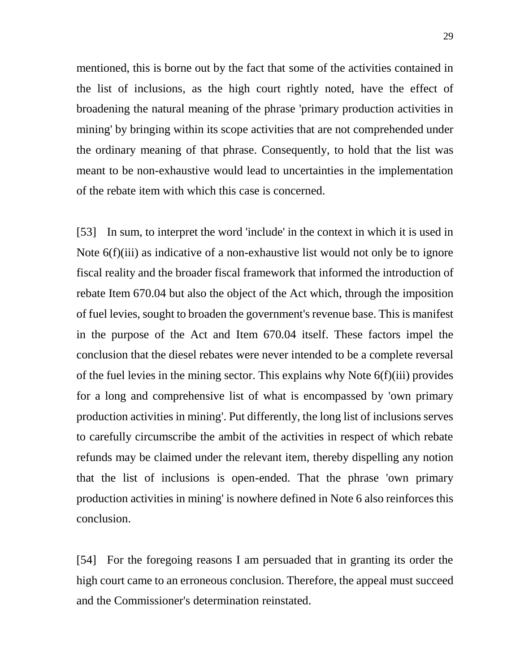mentioned, this is borne out by the fact that some of the activities contained in the list of inclusions, as the high court rightly noted, have the effect of broadening the natural meaning of the phrase 'primary production activities in mining' by bringing within its scope activities that are not comprehended under the ordinary meaning of that phrase. Consequently, to hold that the list was meant to be non-exhaustive would lead to uncertainties in the implementation of the rebate item with which this case is concerned.

[53] In sum, to interpret the word 'include' in the context in which it is used in Note 6(f)(iii) as indicative of a non-exhaustive list would not only be to ignore fiscal reality and the broader fiscal framework that informed the introduction of rebate Item 670.04 but also the object of the Act which, through the imposition of fuel levies, sought to broaden the government's revenue base. This is manifest in the purpose of the Act and Item 670.04 itself. These factors impel the conclusion that the diesel rebates were never intended to be a complete reversal of the fuel levies in the mining sector. This explains why Note 6(f)(iii) provides for a long and comprehensive list of what is encompassed by 'own primary production activities in mining'. Put differently, the long list of inclusions serves to carefully circumscribe the ambit of the activities in respect of which rebate refunds may be claimed under the relevant item, thereby dispelling any notion that the list of inclusions is open-ended. That the phrase 'own primary production activities in mining' is nowhere defined in Note 6 also reinforces this conclusion.

[54] For the foregoing reasons I am persuaded that in granting its order the high court came to an erroneous conclusion. Therefore, the appeal must succeed and the Commissioner's determination reinstated.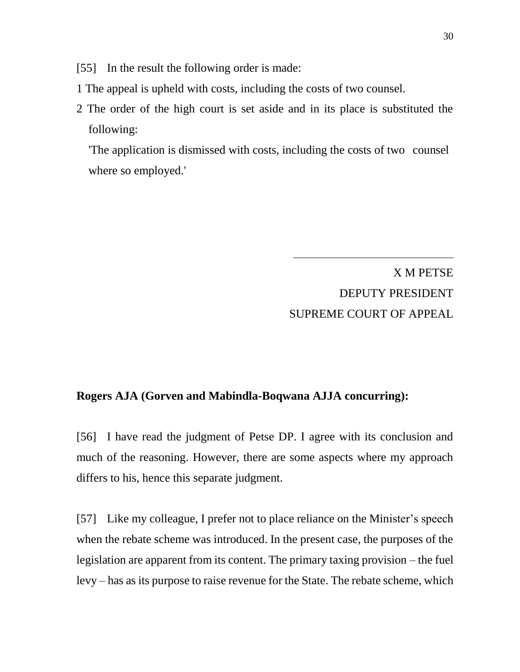[55] In the result the following order is made:

- 1 The appeal is upheld with costs, including the costs of two counsel.
- 2 The order of the high court is set aside and in its place is substituted the following:

'The application is dismissed with costs, including the costs of two counsel where so employed.'

> X M PETSE DEPUTY PRESIDENT SUPREME COURT OF APPEAL

### **Rogers AJA (Gorven and Mabindla-Boqwana AJJA concurring):**

[56] I have read the judgment of Petse DP. I agree with its conclusion and much of the reasoning. However, there are some aspects where my approach differs to his, hence this separate judgment.

[57] Like my colleague, I prefer not to place reliance on the Minister's speech when the rebate scheme was introduced. In the present case, the purposes of the legislation are apparent from its content. The primary taxing provision – the fuel levy – has as its purpose to raise revenue for the State. The rebate scheme, which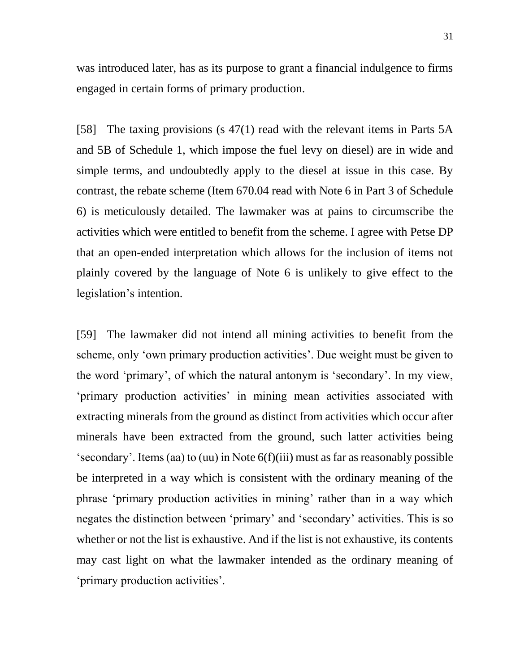was introduced later, has as its purpose to grant a financial indulgence to firms engaged in certain forms of primary production.

[58] The taxing provisions (s 47(1) read with the relevant items in Parts 5A and 5B of Schedule 1, which impose the fuel levy on diesel) are in wide and simple terms, and undoubtedly apply to the diesel at issue in this case. By contrast, the rebate scheme (Item 670.04 read with Note 6 in Part 3 of Schedule 6) is meticulously detailed. The lawmaker was at pains to circumscribe the activities which were entitled to benefit from the scheme. I agree with Petse DP that an open-ended interpretation which allows for the inclusion of items not plainly covered by the language of Note 6 is unlikely to give effect to the legislation's intention.

[59] The lawmaker did not intend all mining activities to benefit from the scheme, only 'own primary production activities'. Due weight must be given to the word 'primary', of which the natural antonym is 'secondary'. In my view, 'primary production activities' in mining mean activities associated with extracting minerals from the ground as distinct from activities which occur after minerals have been extracted from the ground, such latter activities being 'secondary'. Items (aa) to (uu) in Note 6(f)(iii) must as far as reasonably possible be interpreted in a way which is consistent with the ordinary meaning of the phrase 'primary production activities in mining' rather than in a way which negates the distinction between 'primary' and 'secondary' activities. This is so whether or not the list is exhaustive. And if the list is not exhaustive, its contents may cast light on what the lawmaker intended as the ordinary meaning of 'primary production activities'.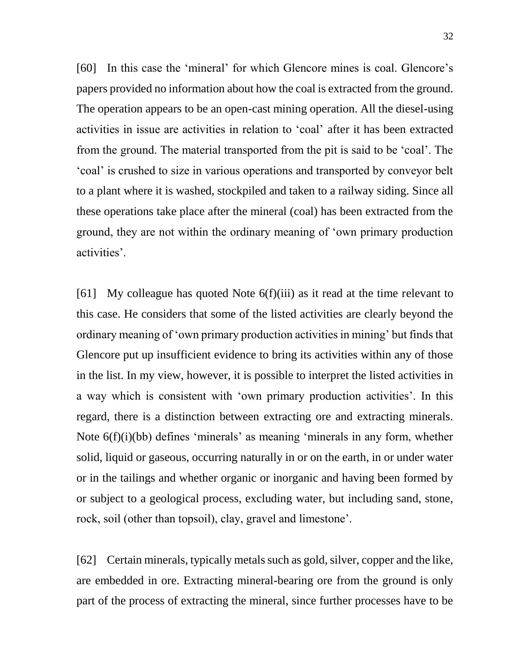[60] In this case the 'mineral' for which Glencore mines is coal. Glencore's papers provided no information about how the coal is extracted from the ground. The operation appears to be an open-cast mining operation. All the diesel-using activities in issue are activities in relation to 'coal' after it has been extracted from the ground. The material transported from the pit is said to be 'coal'. The 'coal' is crushed to size in various operations and transported by conveyor belt to a plant where it is washed, stockpiled and taken to a railway siding. Since all these operations take place after the mineral (coal) has been extracted from the ground, they are not within the ordinary meaning of 'own primary production activities'.

[61] My colleague has quoted Note 6(f)(iii) as it read at the time relevant to this case. He considers that some of the listed activities are clearly beyond the ordinary meaning of 'own primary production activities in mining' but finds that Glencore put up insufficient evidence to bring its activities within any of those in the list. In my view, however, it is possible to interpret the listed activities in a way which is consistent with 'own primary production activities'. In this regard, there is a distinction between extracting ore and extracting minerals. Note 6(f)(i)(bb) defines 'minerals' as meaning 'minerals in any form, whether solid, liquid or gaseous, occurring naturally in or on the earth, in or under water or in the tailings and whether organic or inorganic and having been formed by or subject to a geological process, excluding water, but including sand, stone, rock, soil (other than topsoil), clay, gravel and limestone'.

[62] Certain minerals, typically metals such as gold, silver, copper and the like, are embedded in ore. Extracting mineral-bearing ore from the ground is only part of the process of extracting the mineral, since further processes have to be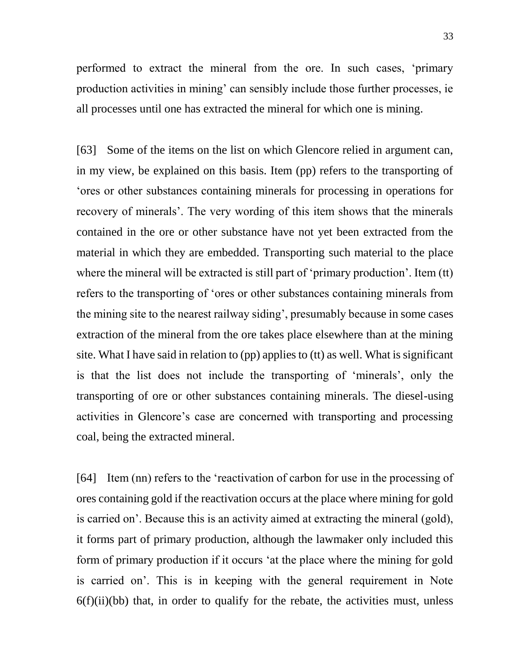performed to extract the mineral from the ore. In such cases, 'primary production activities in mining' can sensibly include those further processes, ie all processes until one has extracted the mineral for which one is mining.

[63] Some of the items on the list on which Glencore relied in argument can, in my view, be explained on this basis. Item (pp) refers to the transporting of 'ores or other substances containing minerals for processing in operations for recovery of minerals'. The very wording of this item shows that the minerals contained in the ore or other substance have not yet been extracted from the material in which they are embedded. Transporting such material to the place where the mineral will be extracted is still part of 'primary production'. Item (tt) refers to the transporting of 'ores or other substances containing minerals from the mining site to the nearest railway siding', presumably because in some cases extraction of the mineral from the ore takes place elsewhere than at the mining site. What I have said in relation to (pp) applies to (tt) as well. What is significant is that the list does not include the transporting of 'minerals', only the transporting of ore or other substances containing minerals. The diesel-using activities in Glencore's case are concerned with transporting and processing coal, being the extracted mineral.

[64] Item (nn) refers to the 'reactivation of carbon for use in the processing of ores containing gold if the reactivation occurs at the place where mining for gold is carried on'. Because this is an activity aimed at extracting the mineral (gold), it forms part of primary production, although the lawmaker only included this form of primary production if it occurs 'at the place where the mining for gold is carried on'. This is in keeping with the general requirement in Note  $6(f)(ii)(bb)$  that, in order to qualify for the rebate, the activities must, unless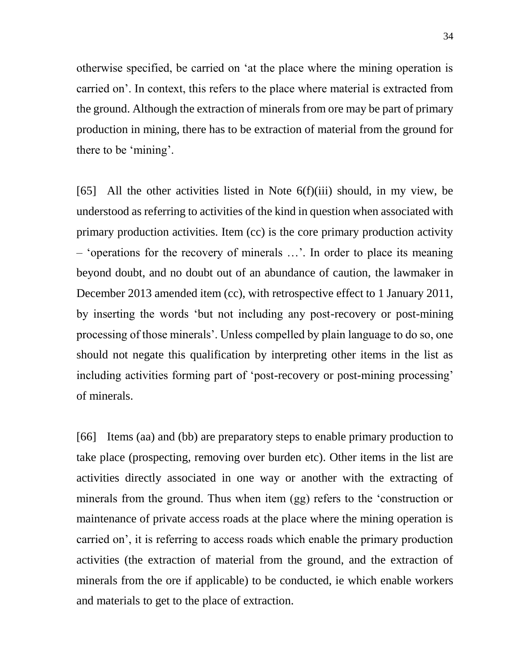otherwise specified, be carried on 'at the place where the mining operation is carried on'. In context, this refers to the place where material is extracted from the ground. Although the extraction of minerals from ore may be part of primary production in mining, there has to be extraction of material from the ground for there to be 'mining'.

[65] All the other activities listed in Note  $6(f)(iii)$  should, in my view, be understood as referring to activities of the kind in question when associated with primary production activities. Item (cc) is the core primary production activity – 'operations for the recovery of minerals …'. In order to place its meaning beyond doubt, and no doubt out of an abundance of caution, the lawmaker in December 2013 amended item (cc), with retrospective effect to 1 January 2011, by inserting the words 'but not including any post-recovery or post-mining processing of those minerals'. Unless compelled by plain language to do so, one should not negate this qualification by interpreting other items in the list as including activities forming part of 'post-recovery or post-mining processing' of minerals.

[66] Items (aa) and (bb) are preparatory steps to enable primary production to take place (prospecting, removing over burden etc). Other items in the list are activities directly associated in one way or another with the extracting of minerals from the ground. Thus when item (gg) refers to the 'construction or maintenance of private access roads at the place where the mining operation is carried on', it is referring to access roads which enable the primary production activities (the extraction of material from the ground, and the extraction of minerals from the ore if applicable) to be conducted, ie which enable workers and materials to get to the place of extraction.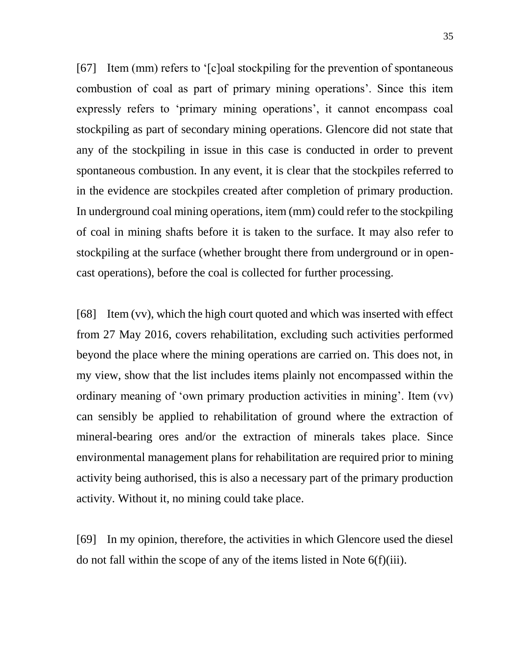[67] Item (mm) refers to '[c]oal stockpiling for the prevention of spontaneous combustion of coal as part of primary mining operations'. Since this item expressly refers to 'primary mining operations', it cannot encompass coal stockpiling as part of secondary mining operations. Glencore did not state that any of the stockpiling in issue in this case is conducted in order to prevent spontaneous combustion. In any event, it is clear that the stockpiles referred to in the evidence are stockpiles created after completion of primary production. In underground coal mining operations, item (mm) could refer to the stockpiling of coal in mining shafts before it is taken to the surface. It may also refer to stockpiling at the surface (whether brought there from underground or in opencast operations), before the coal is collected for further processing.

[68] Item (vv), which the high court quoted and which was inserted with effect from 27 May 2016, covers rehabilitation, excluding such activities performed beyond the place where the mining operations are carried on. This does not, in my view, show that the list includes items plainly not encompassed within the ordinary meaning of 'own primary production activities in mining'. Item (vv) can sensibly be applied to rehabilitation of ground where the extraction of mineral-bearing ores and/or the extraction of minerals takes place. Since environmental management plans for rehabilitation are required prior to mining activity being authorised, this is also a necessary part of the primary production activity. Without it, no mining could take place.

[69] In my opinion, therefore, the activities in which Glencore used the diesel do not fall within the scope of any of the items listed in Note 6(f)(iii).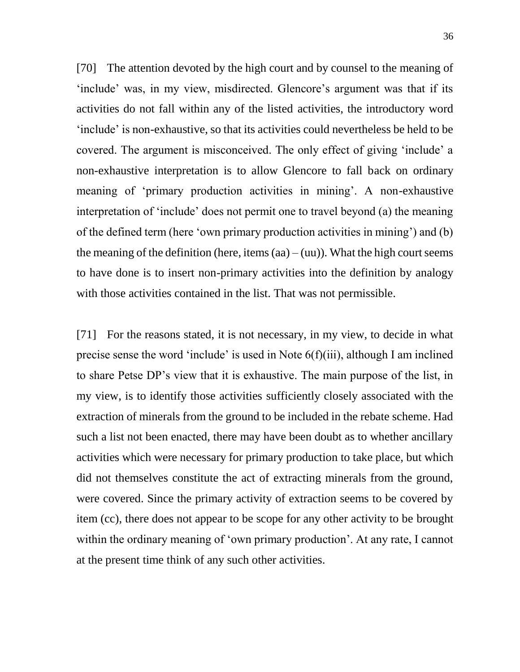[70] The attention devoted by the high court and by counsel to the meaning of 'include' was, in my view, misdirected. Glencore's argument was that if its activities do not fall within any of the listed activities, the introductory word 'include' is non-exhaustive, so that its activities could nevertheless be held to be covered. The argument is misconceived. The only effect of giving 'include' a non-exhaustive interpretation is to allow Glencore to fall back on ordinary meaning of 'primary production activities in mining'. A non-exhaustive interpretation of 'include' does not permit one to travel beyond (a) the meaning of the defined term (here 'own primary production activities in mining') and (b) the meaning of the definition (here, items  $(aa) - (uu)$ ). What the high court seems to have done is to insert non-primary activities into the definition by analogy with those activities contained in the list. That was not permissible.

[71] For the reasons stated, it is not necessary, in my view, to decide in what precise sense the word 'include' is used in Note 6(f)(iii), although I am inclined to share Petse DP's view that it is exhaustive. The main purpose of the list, in my view, is to identify those activities sufficiently closely associated with the extraction of minerals from the ground to be included in the rebate scheme. Had such a list not been enacted, there may have been doubt as to whether ancillary activities which were necessary for primary production to take place, but which did not themselves constitute the act of extracting minerals from the ground, were covered. Since the primary activity of extraction seems to be covered by item (cc), there does not appear to be scope for any other activity to be brought within the ordinary meaning of 'own primary production'. At any rate, I cannot at the present time think of any such other activities.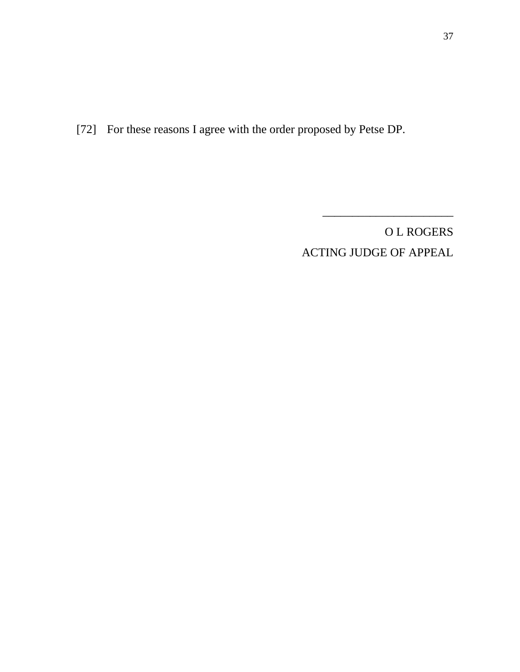[72] For these reasons I agree with the order proposed by Petse DP.

O L ROGERS ACTING JUDGE OF APPEAL

\_\_\_\_\_\_\_\_\_\_\_\_\_\_\_\_\_\_\_\_\_\_